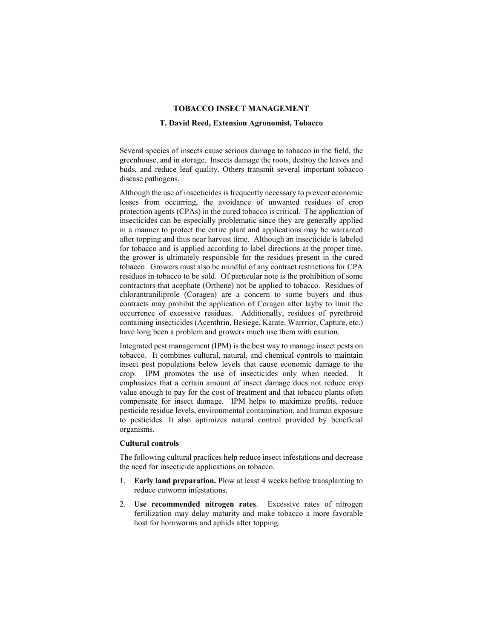#### **TOBACCO INSECT MANAGEMENT**

### **T. David Reed, Extension Agronomist, Tobacco**

Several species of insects cause serious damage to tobacco in the field, the greenhouse, and in storage. Insects damage the roots, destroy the leaves and buds, and reduce leaf quality. Others transmit several important tobacco disease pathogens.

Although the use of insecticides is frequently necessary to prevent economic losses from occurring, the avoidance of unwanted residues of crop protection agents (CPAs) in the cured tobacco is critical. The application of insecticides can be especially problematic since they are generally applied in a manner to protect the entire plant and applications may be warranted after topping and thus near harvest time. Although an insecticide is labeled for tobacco and is applied according to label directions at the proper time, the grower is ultimately responsible for the residues present in the cured tobacco. Growers must also be mindful of any contract restrictions for CPA residues in tobacco to be sold. Of particular note is the prohibition of some contractors that acephate (Orthene) not be applied to tobacco. Residues of chlorantraniliprole (Coragen) are a concern to some buyers and thus contracts may prohibit the application of Coragen after layby to limit the occurrence of excessive residues. Additionally, residues of pyrethroid containing insecticides (Acenthrin, Besiege, Karate, Warrrior, Capture, etc.) have long been a problem and growers much use them with caution.

Integrated pest management (IPM) is the best way to manage insect pests on tobacco. It combines cultural, natural, and chemical controls to maintain insect pest populations below levels that cause economic damage to the crop. IPM promotes the use of insecticides only when needed. It emphasizes that a certain amount of insect damage does not reduce crop value enough to pay for the cost of treatment and that tobacco plants often compensate for insect damage. IPM helps to maximize profits, reduce pesticide residue levels, environmental contamination, and human exposure to pesticides. It also optimizes natural control provided by beneficial organisms.

## **Cultural controls**

The following cultural practices help reduce insect infestations and decrease the need for insecticide applications on tobacco.

- **Early land preparation.** Plow at least 4 weeks before transplanting to reduce cutworm infestations.
- 2. **Use recommended nitrogen rates**. Excessive rates of nitrogen fertilization may delay maturity and make tobacco a more favorable host for hornworms and aphids after topping.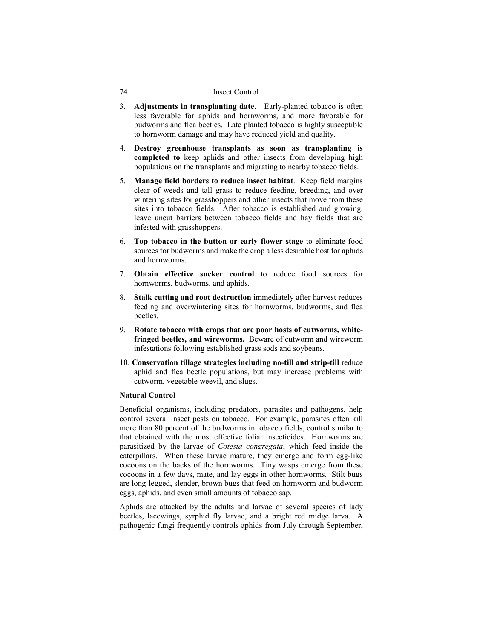- 3. **Adjustments in transplanting date.** Early-planted tobacco is often less favorable for aphids and hornworms, and more favorable for budworms and flea beetles. Late planted tobacco is highly susceptible to hornworm damage and may have reduced yield and quality.
- 4. **Destroy greenhouse transplants as soon as transplanting is completed to** keep aphids and other insects from developing high populations on the transplants and migrating to nearby tobacco fields.
- 5. **Manage field borders to reduce insect habitat**. Keep field margins clear of weeds and tall grass to reduce feeding, breeding, and over wintering sites for grasshoppers and other insects that move from these sites into tobacco fields. After tobacco is established and growing, leave uncut barriers between tobacco fields and hay fields that are infested with grasshoppers.
- 6. **Top tobacco in the button or early flower stage** to eliminate food sources for budworms and make the crop a less desirable host for aphids and hornworms.
- 7. **Obtain effective sucker control** to reduce food sources for hornworms, budworms, and aphids.
- 8. **Stalk cutting and root destruction** immediately after harvest reduces feeding and overwintering sites for hornworms, budworms, and flea beetles.
- 9. **Rotate tobacco with crops that are poor hosts of cutworms, whitefringed beetles, and wireworms.** Beware of cutworm and wireworm infestations following established grass sods and soybeans.
- 10. **Conservation tillage strategies including no-till and strip-till** reduce aphid and flea beetle populations, but may increase problems with cutworm, vegetable weevil, and slugs.

### **Natural Control**

Beneficial organisms, including predators, parasites and pathogens, help control several insect pests on tobacco. For example, parasites often kill more than 80 percent of the budworms in tobacco fields, control similar to that obtained with the most effective foliar insecticides. Hornworms are parasitized by the larvae of *Cotesia congregata*, which feed inside the caterpillars. When these larvae mature, they emerge and form egg-like cocoons on the backs of the hornworms. Tiny wasps emerge from these cocoons in a few days, mate, and lay eggs in other hornworms. Stilt bugs are long-legged, slender, brown bugs that feed on hornworm and budworm eggs, aphids, and even small amounts of tobacco sap.

Aphids are attacked by the adults and larvae of several species of lady beetles, lacewings, syrphid fly larvae, and a bright red midge larva. A pathogenic fungi frequently controls aphids from July through September,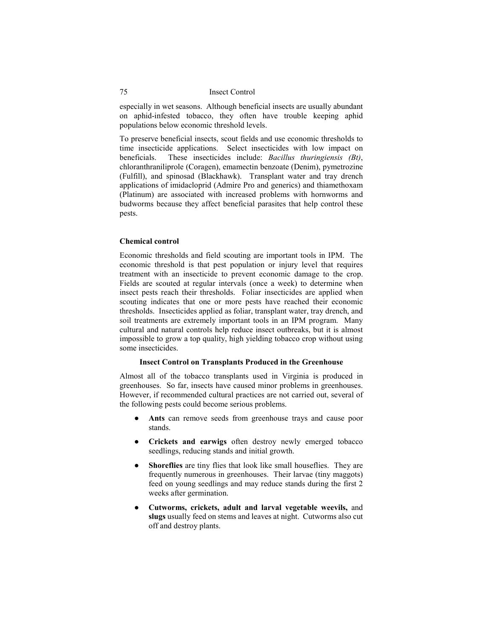especially in wet seasons. Although beneficial insects are usually abundant on aphid-infested tobacco, they often have trouble keeping aphid populations below economic threshold levels.

To preserve beneficial insects, scout fields and use economic thresholds to time insecticide applications. Select insecticides with low impact on beneficials. These insecticides include: *Bacillus thuringiensis (Bt)*, chloranthraniliprole (Coragen), emamectin benzoate (Denim), pymetrozine (Fulfill), and spinosad (Blackhawk). Transplant water and tray drench applications of imidacloprid (Admire Pro and generics) and thiamethoxam (Platinum) are associated with increased problems with hornworms and budworms because they affect beneficial parasites that help control these pests.

#### **Chemical control**

Economic thresholds and field scouting are important tools in IPM. The economic threshold is that pest population or injury level that requires treatment with an insecticide to prevent economic damage to the crop. Fields are scouted at regular intervals (once a week) to determine when insect pests reach their thresholds. Foliar insecticides are applied when scouting indicates that one or more pests have reached their economic thresholds. Insecticides applied as foliar, transplant water, tray drench, and soil treatments are extremely important tools in an IPM program. Many cultural and natural controls help reduce insect outbreaks, but it is almost impossible to grow a top quality, high yielding tobacco crop without using some insecticides.

### **Insect Control on Transplants Produced in the Greenhouse**

Almost all of the tobacco transplants used in Virginia is produced in greenhouses. So far, insects have caused minor problems in greenhouses. However, if recommended cultural practices are not carried out, several of the following pests could become serious problems.

- Ants can remove seeds from greenhouse trays and cause poor stands.
- **Crickets and earwigs** often destroy newly emerged tobacco seedlings, reducing stands and initial growth.
- Shoreflies are tiny flies that look like small houseflies. They are frequently numerous in greenhouses. Their larvae (tiny maggots) feed on young seedlings and may reduce stands during the first 2 weeks after germination.
- **Cutworms, crickets, adult and larval vegetable weevils,** and **slugs** usually feed on stems and leaves at night. Cutworms also cut off and destroy plants.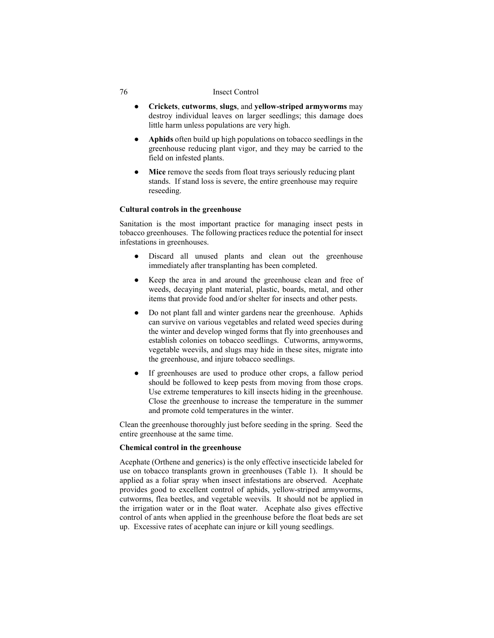- **Crickets**, **cutworms**, **slugs**, and **yellow-striped armyworms** may destroy individual leaves on larger seedlings; this damage does little harm unless populations are very high.
- **Aphids** often build up high populations on tobacco seedlings in the greenhouse reducing plant vigor, and they may be carried to the field on infested plants.
- **Mice** remove the seeds from float trays seriously reducing plant stands. If stand loss is severe, the entire greenhouse may require reseeding.

### **Cultural controls in the greenhouse**

Sanitation is the most important practice for managing insect pests in tobacco greenhouses. The following practices reduce the potential for insect infestations in greenhouses.

- Discard all unused plants and clean out the greenhouse immediately after transplanting has been completed.
- Keep the area in and around the greenhouse clean and free of weeds, decaying plant material, plastic, boards, metal, and other items that provide food and/or shelter for insects and other pests.
- Do not plant fall and winter gardens near the greenhouse. Aphids can survive on various vegetables and related weed species during the winter and develop winged forms that fly into greenhouses and establish colonies on tobacco seedlings. Cutworms, armyworms, vegetable weevils, and slugs may hide in these sites, migrate into the greenhouse, and injure tobacco seedlings.
- If greenhouses are used to produce other crops, a fallow period should be followed to keep pests from moving from those crops. Use extreme temperatures to kill insects hiding in the greenhouse. Close the greenhouse to increase the temperature in the summer and promote cold temperatures in the winter.

Clean the greenhouse thoroughly just before seeding in the spring. Seed the entire greenhouse at the same time.

### **Chemical control in the greenhouse**

Acephate (Orthene and generics) is the only effective insecticide labeled for use on tobacco transplants grown in greenhouses (Table 1). It should be applied as a foliar spray when insect infestations are observed. Acephate provides good to excellent control of aphids, yellow-striped armyworms, cutworms, flea beetles, and vegetable weevils. It should not be applied in the irrigation water or in the float water. Acephate also gives effective control of ants when applied in the greenhouse before the float beds are set up. Excessive rates of acephate can injure or kill young seedlings.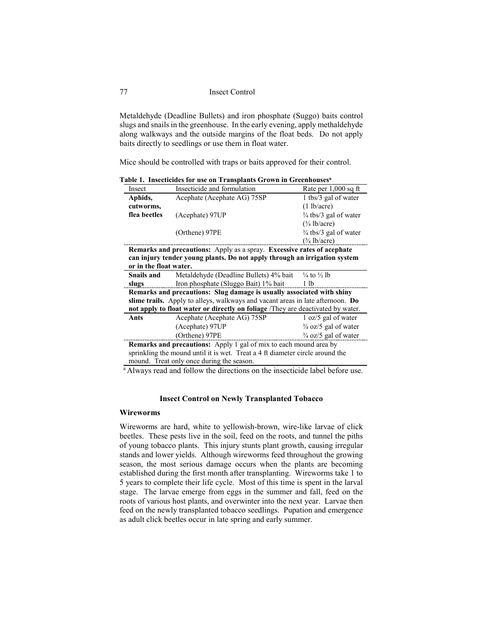Metaldehyde (Deadline Bullets) and iron phosphate (Suggo) baits control slugs and snails in the greenhouse. In the early evening, apply methaldehyde along walkways and the outside margins of the float beds. Do not apply baits directly to seedlings or use them in float water.

Mice should be controlled with traps or baits approved for their control.

**Table 1. Insecticides for use on Transplants Grown in Greenhousesa**

| Insect                                                                                                                                                                        | Insecticide and formulation                                                 | Rate per $1,000$ sq ft  |  |  |  |
|-------------------------------------------------------------------------------------------------------------------------------------------------------------------------------|-----------------------------------------------------------------------------|-------------------------|--|--|--|
| Aphids,                                                                                                                                                                       | Acephate (Acephate AG) 75SP                                                 | 1 tbs/3 gal of water    |  |  |  |
| cutworms,                                                                                                                                                                     |                                                                             | $(1 \text{ lb/acre})$   |  |  |  |
| flea beetles                                                                                                                                                                  | (Acephate) 97UP                                                             | 3/4 tbs/3 gal of water  |  |  |  |
|                                                                                                                                                                               |                                                                             | $(\frac{3}{4}$ lb/acre) |  |  |  |
|                                                                                                                                                                               | (Orthene) 97PE                                                              | 3/4 tbs/3 gal of water  |  |  |  |
|                                                                                                                                                                               |                                                                             | $\frac{3}{4}$ lb/acre)  |  |  |  |
| Remarks and precautions: Apply as a spray. Excessive rates of acephate<br>can injury tender young plants. Do not apply through an irrigation system<br>or in the float water. |                                                                             |                         |  |  |  |
|                                                                                                                                                                               |                                                                             |                         |  |  |  |
| <b>Snails and</b>                                                                                                                                                             | Metaldehyde (Deadline Bullets) 4% bait<br>$\frac{1}{4}$ to $\frac{1}{2}$ lb |                         |  |  |  |
| slugs                                                                                                                                                                         | Iron phosphate (Sluggo Bait) 1% bait                                        | 1 lb                    |  |  |  |

**Remarks and precautions: Slug damage is usually associated with shiny slime trails.** Apply to alleys, walkways and vacant areas in late afternoon. **Do not apply to float water or directly on foliage** /They are deactivated by water.

| Ants                                                                          | Acephate (Acephate AG) 75SP | 1 oz/5 gal of water             |  |  |  |  |
|-------------------------------------------------------------------------------|-----------------------------|---------------------------------|--|--|--|--|
|                                                                               | (Acephate) 97UP             | $\frac{3}{4}$ oz/5 gal of water |  |  |  |  |
| $(Orthene)$ 97 $PE$                                                           |                             | $\frac{3}{4}$ oz/5 gal of water |  |  |  |  |
| <b>Remarks and precautions:</b> Apply 1 gal of mix to each mound area by      |                             |                                 |  |  |  |  |
| sprinkling the mound until it is wet. Treat a 4 ft diameter circle around the |                             |                                 |  |  |  |  |

mound. Treat only once during the season.

<sup>a</sup> Always read and follow the directions on the insecticide label before use.

# **Insect Control on Newly Transplanted Tobacco**

# **Wireworms**

Wireworms are hard, white to yellowish-brown, wire-like larvae of click beetles. These pests live in the soil, feed on the roots, and tunnel the piths of young tobacco plants. This injury stunts plant growth, causing irregular stands and lower yields. Although wireworms feed throughout the growing season, the most serious damage occurs when the plants are becoming established during the first month after transplanting. Wireworms take 1 to 5 years to complete their life cycle. Most of this time is spent in the larval stage. The larvae emerge from eggs in the summer and fall, feed on the roots of various host plants, and overwinter into the next year. Larvae then feed on the newly transplanted tobacco seedlings. Pupation and emergence as adult click beetles occur in late spring and early summer.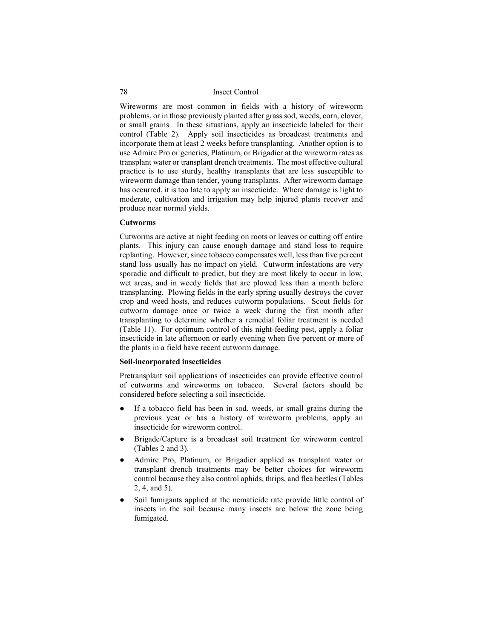Wireworms are most common in fields with a history of wireworm problems, or in those previously planted after grass sod, weeds, corn, clover, or small grains. In these situations, apply an insecticide labeled for their control (Table 2). Apply soil insecticides as broadcast treatments and incorporate them at least 2 weeks before transplanting. Another option is to use Admire Pro or generics, Platinum, or Brigadier at the wireworm rates as transplant water or transplant drench treatments. The most effective cultural practice is to use sturdy, healthy transplants that are less susceptible to wireworm damage than tender, young transplants. After wireworm damage has occurred, it is too late to apply an insecticide. Where damage is light to moderate, cultivation and irrigation may help injured plants recover and produce near normal yields.

### **Cutworms**

Cutworms are active at night feeding on roots or leaves or cutting off entire plants. This injury can cause enough damage and stand loss to require replanting. However, since tobacco compensates well, less than five percent stand loss usually has no impact on yield. Cutworm infestations are very sporadic and difficult to predict, but they are most likely to occur in low, wet areas, and in weedy fields that are plowed less than a month before transplanting. Plowing fields in the early spring usually destroys the cover crop and weed hosts, and reduces cutworm populations. Scout fields for cutworm damage once or twice a week during the first month after transplanting to determine whether a remedial foliar treatment is needed (Table 11). For optimum control of this night-feeding pest, apply a foliar insecticide in late afternoon or early evening when five percent or more of the plants in a field have recent cutworm damage.

### **Soil-incorporated insecticides**

Pretransplant soil applications of insecticides can provide effective control of cutworms and wireworms on tobacco. Several factors should be considered before selecting a soil insecticide.

- If a tobacco field has been in sod, weeds, or small grains during the previous year or has a history of wireworm problems, apply an insecticide for wireworm control.
- Brigade/Capture is a broadcast soil treatment for wireworm control (Tables 2 and 3).
- Admire Pro, Platinum, or Brigadier applied as transplant water or transplant drench treatments may be better choices for wireworm control because they also control aphids, thrips, and flea beetles (Tables 2, 4, and 5).
- Soil fumigants applied at the nematicide rate provide little control of insects in the soil because many insects are below the zone being fumigated.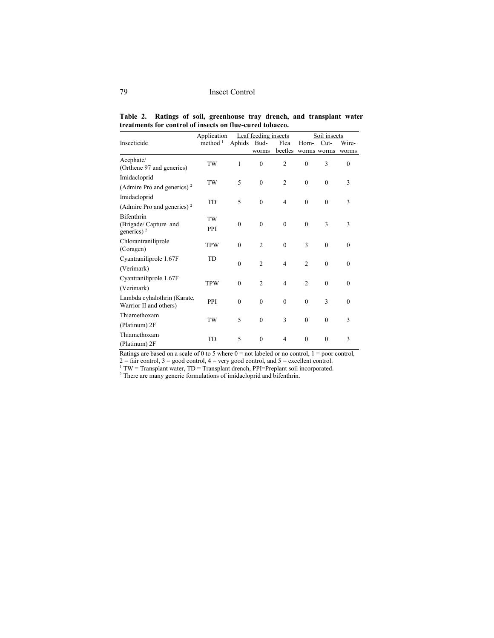|  | Table 2. Ratings of soil, greenhouse tray drench, and transplant water |  |  |  |
|--|------------------------------------------------------------------------|--|--|--|
|  | treatments for control of insects on flue-cured tobacco.               |  |  |  |

|                                                       | Application         |             | Leaf feeding insects |                |                | Soil insects |              |
|-------------------------------------------------------|---------------------|-------------|----------------------|----------------|----------------|--------------|--------------|
| Insecticide                                           | method <sup>1</sup> | Aphids Bud- |                      | Flea           | Horn-          | $Cut-$       | Wire-        |
|                                                       |                     |             | worms                | beetles        | worms worms    |              | worms        |
| Acephate/<br>(Orthene 97 and generics)                | TW                  | 1           | $\mathbf{0}$         | $\overline{c}$ | $\Omega$       | 3            | $\mathbf{0}$ |
| Imidacloprid                                          |                     |             |                      |                |                |              |              |
| (Admire Pro and generics) <sup>2</sup>                | TW                  | 5           | $\mathbf{0}$         | $\overline{2}$ | $\Omega$       | $\theta$     | 3            |
| Imidacloprid                                          |                     |             |                      |                |                |              |              |
| (Admire Pro and generics) <sup>2</sup>                | <b>TD</b>           | 5           | $\mathbf{0}$         | $\overline{4}$ | $\Omega$       | $\theta$     | 3            |
| <b>Bifenthrin</b><br>(Brigade/ Capture and            | TW<br>PPI           | $\theta$    | $\mathbf{0}$         | $\mathbf{0}$   | $\theta$       | 3            | 3            |
| generics) <sup>2</sup>                                |                     |             |                      |                |                |              |              |
| Chlorantraniliprole<br>(Coragen)                      | <b>TPW</b>          | $\theta$    | $\overline{2}$       | $\theta$       | 3              | $\theta$     | $\theta$     |
| Cyantraniliprole 1.67F                                | TD                  |             |                      |                |                |              |              |
| (Verimark)                                            |                     | $\theta$    | $\overline{2}$       | $\overline{4}$ | $\overline{2}$ | $\theta$     | $\theta$     |
| Cyantraniliprole 1.67F                                |                     |             |                      |                |                |              |              |
| (Verimark)                                            | <b>TPW</b>          | $\theta$    | $\overline{2}$       | $\overline{4}$ | $\overline{2}$ | $\theta$     | $\theta$     |
| Lambda cyhalothrin (Karate,<br>Warrior II and others) | PPI                 | $\theta$    | $\theta$             | $\theta$       | $\theta$       | 3            | $\theta$     |
| Thiamethoxam                                          |                     | 5           |                      |                | $\Omega$       |              |              |
| (Platinum) 2F                                         | TW                  |             | $\theta$             | 3              |                | $\theta$     | 3            |
| Thiamethoxam<br>(Platinum) 2F                         | <b>TD</b>           | 5           | $\mathbf{0}$         | $\overline{4}$ | $\theta$       | $\theta$     | 3            |
|                                                       |                     |             |                      |                |                |              |              |

Ratings are based on a scale of 0 to 5 where  $0 =$  not labeled or no control,  $1 =$  poor control,

 $2 =$  fair control,  $3 =$  good control,  $4 =$  very good control, and  $5 =$  excellent control.

 $1 TW = Transplant water, TD = Transplant drench, PPI = Preplant soil incorporated.$ 

 $2$  There are many generic formulations of imidacloprid and bifenthrin.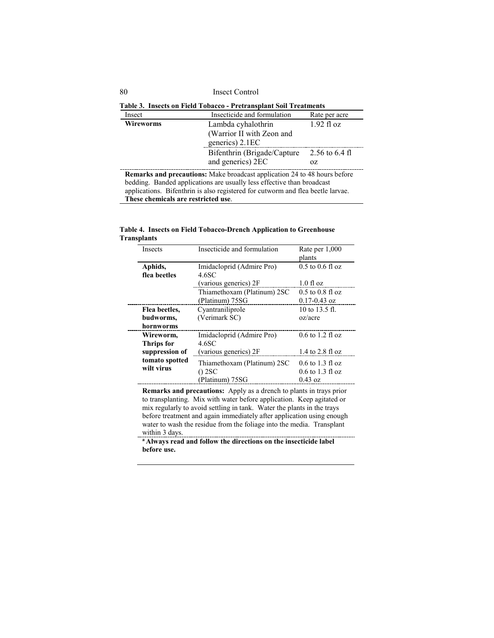| Insect Control |
|----------------|
|                |

| Table 3. Insects on Field Tobacco - Pretransplant Soil Treatments                |                                                         |            |  |  |  |
|----------------------------------------------------------------------------------|---------------------------------------------------------|------------|--|--|--|
| Insect                                                                           | Insecticide and formulation<br>Rate per acre            |            |  |  |  |
| <b>Wireworms</b>                                                                 | Lambda cyhalothrin                                      | 1.92 fl oz |  |  |  |
|                                                                                  | (Warrior II with Zeon and                               |            |  |  |  |
|                                                                                  | generics) 2.1EC                                         |            |  |  |  |
|                                                                                  | Bifenthrin (Brigade/Capture<br>2.56 to $6.4 \text{ fl}$ |            |  |  |  |
|                                                                                  | and generics) 2EC<br>OZ.                                |            |  |  |  |
| <b>Remarks and precautions:</b> Make broadcast application 24 to 48 hours before |                                                         |            |  |  |  |
| bedding. Banded applications are usually less effective than broadcast           |                                                         |            |  |  |  |
| applications. Bifenthrin is also registered for cutworm and flea beetle larvae.  |                                                         |            |  |  |  |

**These chemicals are restricted use**.

|                    |  |  | Table 4. Insects on Field Tobacco-Drench Application to Greenhouse |
|--------------------|--|--|--------------------------------------------------------------------|
| <b>Transplants</b> |  |  |                                                                    |

| Insects        | Insecticide and formulation | Rate per 1,000       |
|----------------|-----------------------------|----------------------|
|                |                             | plants               |
| Aphids,        | Imidacloprid (Admire Pro)   | $0.5$ to $0.6$ fl oz |
| flea beetles   | 4.6SC                       |                      |
|                | (various generics) 2F       | $1.0$ fl oz          |
|                | Thiamethoxam (Platinum) 2SC | $0.5$ to $0.8$ fl oz |
|                | (Platinum) 75SG             | $0.17 - 0.43$ oz     |
| Flea beetles,  | Cyantraniliprole            | 10 to 13.5 fl.       |
| budworms,      | (Verimark SC)               | oz/acre              |
| hornworms      |                             |                      |
| Wireworm.      | Imidacloprid (Admire Pro)   | $0.6$ to 1.2 fl oz   |
| Thrips for     | 4.6SC                       |                      |
| suppression of | (various generics) 2F       | $1.4$ to $2.8$ fl oz |
| tomato spotted | Thiamethoxam (Platinum) 2SC | $0.6$ to 1.3 fl oz   |
| wilt virus     | $()$ 2SC                    | $0.6$ to 1.3 fl oz   |
|                | (Platinum) 75SG             | $0.43$ oz            |

**Remarks and precautions:** Apply as a drench to plants in trays prior to transplanting. Mix with water before application. Keep agitated or mix regularly to avoid settling in tank. Water the plants in the trays before treatment and again immediately after application using enough water to wash the residue from the foliage into the media. Transplant within 3 days.

**<sup>a</sup> Always read and follow the directions on the insecticide label before use.**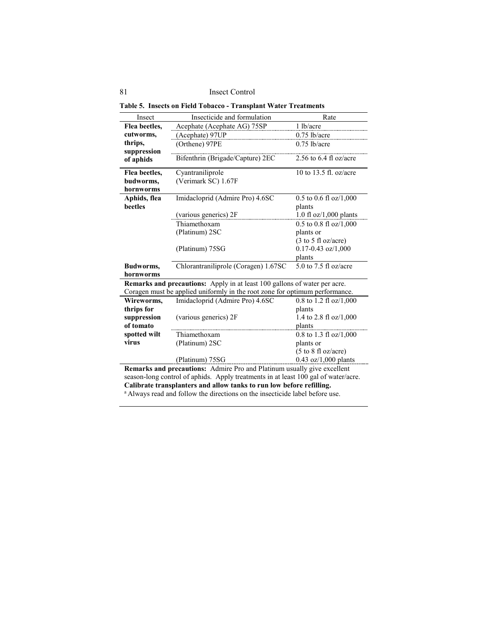|  |  | Table 5. Insects on Field Tobacco - Transplant Water Treatments |  |  |  |
|--|--|-----------------------------------------------------------------|--|--|--|
|--|--|-----------------------------------------------------------------|--|--|--|

| Insect                                                               | Insecticide and formulation                                                        | Rate                                   |  |  |  |
|----------------------------------------------------------------------|------------------------------------------------------------------------------------|----------------------------------------|--|--|--|
| Flea beetles,                                                        | Acephate (Acephate AG) 75SP                                                        | 1 lb/acre                              |  |  |  |
| cutworms,                                                            | (Acephate) 97UP                                                                    | $0.75$ lb/acre                         |  |  |  |
| thrips,                                                              | (Orthene) 97PE                                                                     | $0.75$ lb/acre                         |  |  |  |
| suppression                                                          |                                                                                    |                                        |  |  |  |
| of aphids                                                            | Bifenthrin (Brigade/Capture) 2EC                                                   | 2.56 to $6.4$ fl oz/acre               |  |  |  |
| Flea beetles,                                                        | Cyantraniliprole                                                                   | 10 to 13.5 fl. oz/acre                 |  |  |  |
| budworms,                                                            | (Verimark SC) 1.67F                                                                |                                        |  |  |  |
| hornworms                                                            |                                                                                    |                                        |  |  |  |
| Aphids, flea                                                         | Imidacloprid (Admire Pro) 4.6SC                                                    | $0.5$ to $0.6$ fl oz/1,000             |  |  |  |
| beetles                                                              |                                                                                    | plants                                 |  |  |  |
|                                                                      | (various generics) 2F                                                              | 1.0 fl oz/1,000 plants                 |  |  |  |
|                                                                      | Thiamethoxam                                                                       | $0.5$ to $0.8$ fl oz/1,000             |  |  |  |
|                                                                      | (Platinum) 2SC                                                                     | plants or                              |  |  |  |
|                                                                      |                                                                                    | $(3 \text{ to } 5 \text{ fl oz/acre})$ |  |  |  |
|                                                                      | (Platinum) 75SG                                                                    | $0.17 - 0.43$ oz/1,000                 |  |  |  |
|                                                                      |                                                                                    | plants                                 |  |  |  |
| Budworms,                                                            | Chlorantraniliprole (Coragen) 1.67SC                                               | 5.0 to 7.5 fl oz/acre                  |  |  |  |
| hornworms                                                            |                                                                                    |                                        |  |  |  |
|                                                                      | Remarks and precautions: Apply in at least 100 gallons of water per acre.          |                                        |  |  |  |
|                                                                      | Coragen must be applied uniformly in the root zone for optimum performance.        |                                        |  |  |  |
| Wireworms,                                                           | Imidacloprid (Admire Pro) 4.6SC                                                    | 0.8 to 1.2 fl oz/1,000                 |  |  |  |
| thrips for                                                           |                                                                                    | plants                                 |  |  |  |
| suppression                                                          | (various generics) 2F                                                              | 1.4 to 2.8 fl oz/1,000                 |  |  |  |
| of tomato                                                            |                                                                                    | plants                                 |  |  |  |
| spotted wilt                                                         | Thiamethoxam                                                                       | 0.8 to 1.3 fl oz/1,000                 |  |  |  |
| virus                                                                | (Platinum) 2SC                                                                     | plants or                              |  |  |  |
|                                                                      |                                                                                    | $(5 \text{ to } 8 \text{ fl oz/acre})$ |  |  |  |
|                                                                      | (Platinum) 75SG                                                                    | $0.43$ oz/1,000 plants                 |  |  |  |
|                                                                      | Remarks and precautions: Admire Pro and Platinum usually give excellent            |                                        |  |  |  |
|                                                                      | season-long control of aphids. Apply treatments in at least 100 gal of water/acre. |                                        |  |  |  |
| Calibrate transplanters and allow tanks to run low before refilling. |                                                                                    |                                        |  |  |  |

<sup>a</sup> Always read and follow the directions on the insecticide label before use.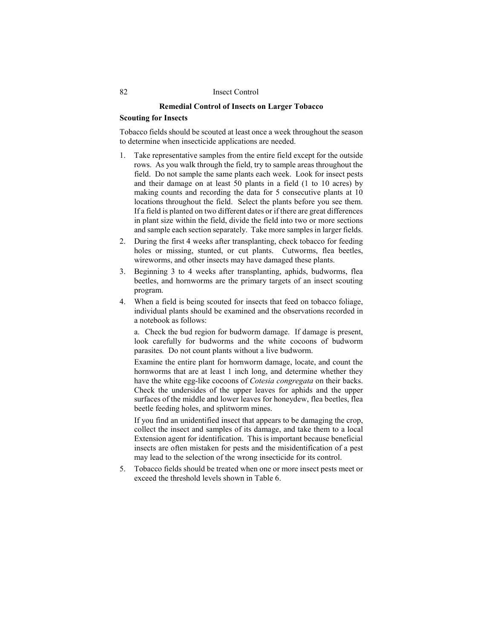### **Remedial Control of Insects on Larger Tobacco**

### **Scouting for Insects**

Tobacco fields should be scouted at least once a week throughout the season to determine when insecticide applications are needed.

- 1. Take representative samples from the entire field except for the outside rows. As you walk through the field, try to sample areas throughout the field. Do not sample the same plants each week. Look for insect pests and their damage on at least 50 plants in a field (1 to 10 acres) by making counts and recording the data for 5 consecutive plants at 10 locations throughout the field. Select the plants before you see them. If a field is planted on two different dates or if there are great differences in plant size within the field, divide the field into two or more sections and sample each section separately. Take more samples in larger fields.
- 2. During the first 4 weeks after transplanting, check tobacco for feeding holes or missing, stunted, or cut plants. Cutworms, flea beetles, wireworms, and other insects may have damaged these plants.
- 3. Beginning 3 to 4 weeks after transplanting, aphids, budworms, flea beetles, and hornworms are the primary targets of an insect scouting program.
- 4. When a field is being scouted for insects that feed on tobacco foliage, individual plants should be examined and the observations recorded in a notebook as follows:

a. Check the bud region for budworm damage. If damage is present, look carefully for budworms and the white cocoons of budworm parasites*.* Do not count plants without a live budworm.

Examine the entire plant for hornworm damage, locate, and count the hornworms that are at least 1 inch long, and determine whether they have the white egg-like cocoons of *Cotesia congregata* on their backs. Check the undersides of the upper leaves for aphids and the upper surfaces of the middle and lower leaves for honeydew, flea beetles, flea beetle feeding holes, and splitworm mines.

If you find an unidentified insect that appears to be damaging the crop, collect the insect and samples of its damage, and take them to a local Extension agent for identification. This is important because beneficial insects are often mistaken for pests and the misidentification of a pest may lead to the selection of the wrong insecticide for its control.

5. Tobacco fields should be treated when one or more insect pests meet or exceed the threshold levels shown in Table 6.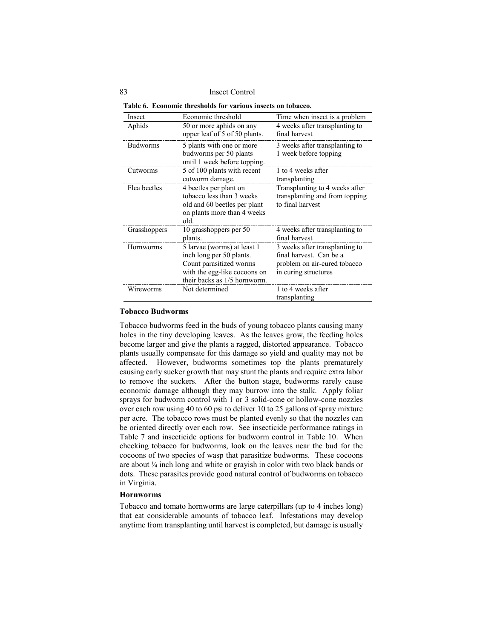| Table 6. Economic thresholds for various insects on tobacco. |  |
|--------------------------------------------------------------|--|
|--------------------------------------------------------------|--|

| Insect          | Economic threshold            | Time when insect is a problem  |
|-----------------|-------------------------------|--------------------------------|
| Aphids          | 50 or more aphids on any      | 4 weeks after transplanting to |
|                 | upper leaf of 5 of 50 plants. | final harvest                  |
| <b>Budworms</b> | 5 plants with one or more     | 3 weeks after transplanting to |
|                 | budworms per 50 plants        | 1 week before topping          |
|                 | until 1 week before topping.  |                                |
| Cutworms        | 5 of 100 plants with recent   | 1 to 4 weeks after             |
|                 | cutworm damage.               | transplanting                  |
| Flea beetles    | 4 beetles per plant on        | Transplanting to 4 weeks after |
|                 | tobacco less than 3 weeks     | transplanting and from topping |
|                 | old and 60 beetles per plant  | to final harvest               |
|                 | on plants more than 4 weeks   |                                |
|                 | old.                          |                                |
| Grasshoppers    | 10 grasshoppers per 50        | 4 weeks after transplanting to |
|                 | plants.                       | final harvest                  |
| Hornworms       | 5 larvae (worms) at least 1   | 3 weeks after transplanting to |
|                 | inch long per 50 plants.      | final harvest. Can be a        |
|                 | Count parasitized worms       | problem on air-cured tobacco   |
|                 | with the egg-like cocoons on  | in curing structures           |
|                 | their backs as 1/5 hornworm.  |                                |
| Wireworms       | Not determined                | 1 to 4 weeks after             |
|                 |                               | transplanting                  |

## **Tobacco Budworms**

Tobacco budworms feed in the buds of young tobacco plants causing many holes in the tiny developing leaves. As the leaves grow, the feeding holes become larger and give the plants a ragged, distorted appearance. Tobacco plants usually compensate for this damage so yield and quality may not be affected. However, budworms sometimes top the plants prematurely causing early sucker growth that may stunt the plants and require extra labor to remove the suckers. After the button stage, budworms rarely cause economic damage although they may burrow into the stalk. Apply foliar sprays for budworm control with 1 or 3 solid-cone or hollow-cone nozzles over each row using 40 to 60 psi to deliver 10 to 25 gallons of spray mixture per acre. The tobacco rows must be planted evenly so that the nozzles can be oriented directly over each row. See insecticide performance ratings in Table 7 and insecticide options for budworm control in Table 10. When checking tobacco for budworms, look on the leaves near the bud for the cocoons of two species of wasp that parasitize budworms. These cocoons are about ¼ inch long and white or grayish in color with two black bands or dots. These parasites provide good natural control of budworms on tobacco in Virginia.

### **Hornworms**

Tobacco and tomato hornworms are large caterpillars (up to 4 inches long) that eat considerable amounts of tobacco leaf. Infestations may develop anytime from transplanting until harvest is completed, but damage is usually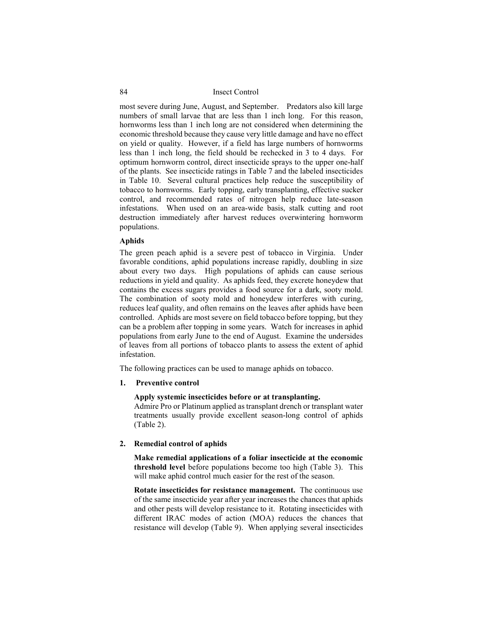most severe during June, August, and September. Predators also kill large numbers of small larvae that are less than 1 inch long. For this reason, hornworms less than 1 inch long are not considered when determining the economic threshold because they cause very little damage and have no effect on yield or quality. However, if a field has large numbers of hornworms less than 1 inch long, the field should be rechecked in 3 to 4 days. For optimum hornworm control, direct insecticide sprays to the upper one-half of the plants. See insecticide ratings in Table 7 and the labeled insecticides in Table 10. Several cultural practices help reduce the susceptibility of tobacco to hornworms. Early topping, early transplanting, effective sucker control, and recommended rates of nitrogen help reduce late-season infestations. When used on an area-wide basis, stalk cutting and root destruction immediately after harvest reduces overwintering hornworm populations.

### **Aphids**

The green peach aphid is a severe pest of tobacco in Virginia. Under favorable conditions, aphid populations increase rapidly, doubling in size about every two days. High populations of aphids can cause serious reductions in yield and quality. As aphids feed, they excrete honeydew that contains the excess sugars provides a food source for a dark, sooty mold. The combination of sooty mold and honeydew interferes with curing, reduces leaf quality, and often remains on the leaves after aphids have been controlled. Aphids are most severe on field tobacco before topping, but they can be a problem after topping in some years. Watch for increases in aphid populations from early June to the end of August. Examine the undersides of leaves from all portions of tobacco plants to assess the extent of aphid infestation.

The following practices can be used to manage aphids on tobacco.

### **1. Preventive control**

### **Apply systemic insecticides before or at transplanting.**

Admire Pro or Platinum applied as transplant drench or transplant water treatments usually provide excellent season-long control of aphids (Table 2).

#### **2. Remedial control of aphids**

**Make remedial applications of a foliar insecticide at the economic threshold level** before populations become too high (Table 3). This will make aphid control much easier for the rest of the season.

**Rotate insecticides for resistance management.** The continuous use of the same insecticide year after year increases the chances that aphids and other pests will develop resistance to it. Rotating insecticides with different IRAC modes of action (MOA) reduces the chances that resistance will develop (Table 9). When applying several insecticides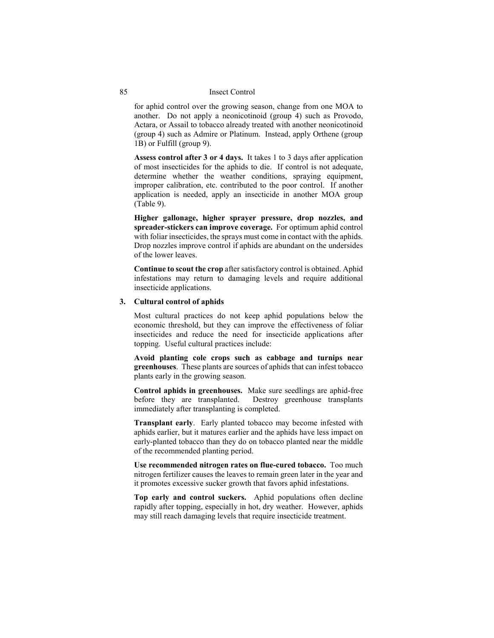for aphid control over the growing season, change from one MOA to another. Do not apply a neonicotinoid (group 4) such as Provodo, Actara, or Assail to tobacco already treated with another neonicotinoid (group 4) such as Admire or Platinum. Instead, apply Orthene (group 1B) or Fulfill (group 9).

**Assess control after 3 or 4 days.** It takes 1 to 3 days after application of most insecticides for the aphids to die. If control is not adequate, determine whether the weather conditions, spraying equipment, improper calibration, etc. contributed to the poor control. If another application is needed, apply an insecticide in another MOA group (Table 9).

**Higher gallonage, higher sprayer pressure, drop nozzles, and spreader-stickers can improve coverage.** For optimum aphid control with foliar insecticides, the sprays must come in contact with the aphids. Drop nozzles improve control if aphids are abundant on the undersides of the lower leaves.

**Continue to scout the crop** after satisfactory control is obtained. Aphid infestations may return to damaging levels and require additional insecticide applications.

### **3. Cultural control of aphids**

Most cultural practices do not keep aphid populations below the economic threshold, but they can improve the effectiveness of foliar insecticides and reduce the need for insecticide applications after topping. Useful cultural practices include:

**Avoid planting cole crops such as cabbage and turnips near greenhouses**. These plants are sources of aphids that can infest tobacco plants early in the growing season.

**Control aphids in greenhouses.** Make sure seedlings are aphid-free before they are transplanted. Destroy greenhouse transplants immediately after transplanting is completed.

**Transplant early**. Early planted tobacco may become infested with aphids earlier, but it matures earlier and the aphids have less impact on early-planted tobacco than they do on tobacco planted near the middle of the recommended planting period.

**Use recommended nitrogen rates on flue-cured tobacco.** Too much nitrogen fertilizer causes the leaves to remain green later in the year and it promotes excessive sucker growth that favors aphid infestations.

**Top early and control suckers.** Aphid populations often decline rapidly after topping, especially in hot, dry weather. However, aphids may still reach damaging levels that require insecticide treatment.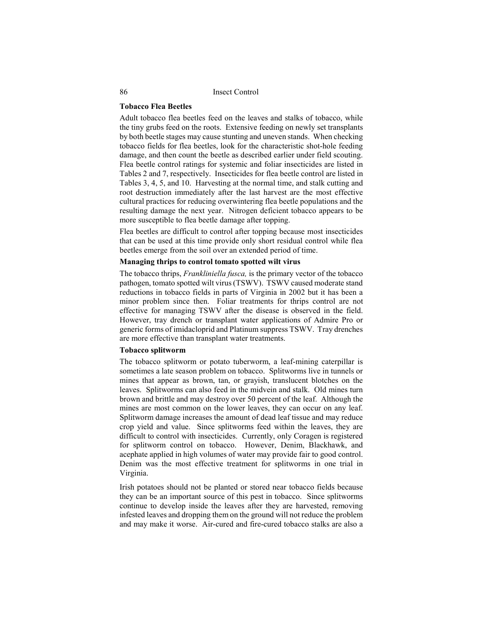### **Tobacco Flea Beetles**

Adult tobacco flea beetles feed on the leaves and stalks of tobacco, while the tiny grubs feed on the roots. Extensive feeding on newly set transplants by both beetle stages may cause stunting and uneven stands. When checking tobacco fields for flea beetles, look for the characteristic shot-hole feeding damage, and then count the beetle as described earlier under field scouting. Flea beetle control ratings for systemic and foliar insecticides are listed in Tables 2 and 7, respectively. Insecticides for flea beetle control are listed in Tables 3, 4, 5, and 10. Harvesting at the normal time, and stalk cutting and root destruction immediately after the last harvest are the most effective cultural practices for reducing overwintering flea beetle populations and the resulting damage the next year. Nitrogen deficient tobacco appears to be more susceptible to flea beetle damage after topping.

Flea beetles are difficult to control after topping because most insecticides that can be used at this time provide only short residual control while flea beetles emerge from the soil over an extended period of time.

## **Managing thrips to control tomato spotted wilt virus**

The tobacco thrips, *Frankliniella fusca,* is the primary vector of the tobacco pathogen, tomato spotted wilt virus (TSWV). TSWV caused moderate stand reductions in tobacco fields in parts of Virginia in 2002 but it has been a minor problem since then. Foliar treatments for thrips control are not effective for managing TSWV after the disease is observed in the field. However, tray drench or transplant water applications of Admire Pro or generic forms of imidacloprid and Platinum suppress TSWV. Tray drenches are more effective than transplant water treatments.

# **Tobacco splitworm**

The tobacco splitworm or potato tuberworm, a leaf-mining caterpillar is sometimes a late season problem on tobacco. Splitworms live in tunnels or mines that appear as brown, tan, or grayish, translucent blotches on the leaves. Splitworms can also feed in the midvein and stalk. Old mines turn brown and brittle and may destroy over 50 percent of the leaf. Although the mines are most common on the lower leaves, they can occur on any leaf. Splitworm damage increases the amount of dead leaf tissue and may reduce crop yield and value. Since splitworms feed within the leaves, they are difficult to control with insecticides. Currently, only Coragen is registered for splitworm control on tobacco. However, Denim, Blackhawk, and acephate applied in high volumes of water may provide fair to good control. Denim was the most effective treatment for splitworms in one trial in Virginia.

Irish potatoes should not be planted or stored near tobacco fields because they can be an important source of this pest in tobacco. Since splitworms continue to develop inside the leaves after they are harvested, removing infested leaves and dropping them on the ground will not reduce the problem and may make it worse. Air-cured and fire-cured tobacco stalks are also a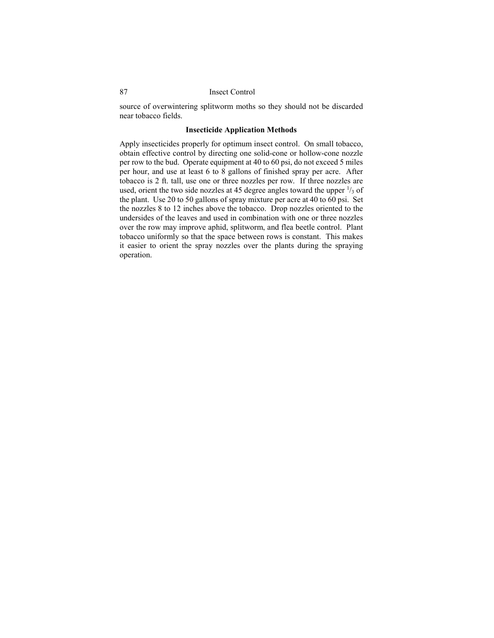source of overwintering splitworm moths so they should not be discarded near tobacco fields.

### **Insecticide Application Methods**

Apply insecticides properly for optimum insect control. On small tobacco, obtain effective control by directing one solid-cone or hollow-cone nozzle per row to the bud. Operate equipment at 40 to 60 psi, do not exceed 5 miles per hour, and use at least 6 to 8 gallons of finished spray per acre. After tobacco is 2 ft. tall, use one or three nozzles per row. If three nozzles are used, orient the two side nozzles at 45 degree angles toward the upper  $\frac{1}{3}$  of the plant. Use 20 to 50 gallons of spray mixture per acre at 40 to 60 psi. Set the nozzles 8 to 12 inches above the tobacco. Drop nozzles oriented to the undersides of the leaves and used in combination with one or three nozzles over the row may improve aphid, splitworm, and flea beetle control. Plant tobacco uniformly so that the space between rows is constant. This makes it easier to orient the spray nozzles over the plants during the spraying operation.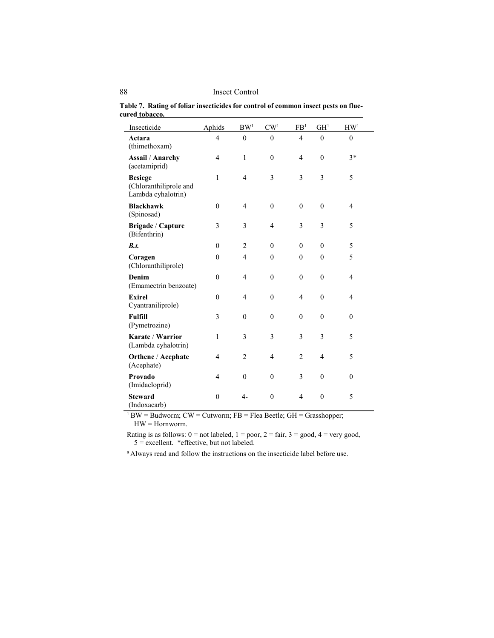| Insecticide                                                    | Aphids           | BW <sup>1</sup> | CW <sup>1</sup>  | FB <sup>1</sup> | GH <sup>1</sup> | HW <sup>1</sup>  |
|----------------------------------------------------------------|------------------|-----------------|------------------|-----------------|-----------------|------------------|
| Actara<br>(thimethoxam)                                        | 4                | $\mathbf{0}$    | $\theta$         | $\overline{4}$  | $\theta$        | $\mathbf{0}$     |
| <b>Assail / Anarchy</b><br>(acetamiprid)                       | 4                | $\mathbf{1}$    | $\mathbf{0}$     | $\overline{4}$  | $\mathbf{0}$    | $3*$             |
| <b>Besiege</b><br>(Chloranthiliprole and<br>Lambda cyhalotrin) | $\mathbf{1}$     | 4               | 3                | 3               | 3               | 5                |
| <b>Blackhawk</b><br>(Spinosad)                                 | $\mathbf{0}$     | 4               | $\boldsymbol{0}$ | $\mathbf{0}$    | $\mathbf{0}$    | 4                |
| Brigade / Capture<br>(Bifenthrin)                              | 3                | 3               | $\overline{4}$   | 3               | 3               | 5                |
| B.t.                                                           | $\boldsymbol{0}$ | $\overline{2}$  | $\mathbf{0}$     | $\mathbf{0}$    | $\mathbf{0}$    | 5                |
| Coragen<br>(Chloranthiliprole)                                 | $\mathbf{0}$     | 4               | $\mathbf{0}$     | $\mathbf{0}$    | $\theta$        | 5                |
| Denim<br>(Emamectrin benzoate)                                 | $\mathbf{0}$     | 4               | $\mathbf{0}$     | $\theta$        | $\theta$        | 4                |
| <b>Exirel</b><br>Cyantraniliprole)                             | $\mathbf{0}$     | 4               | $\boldsymbol{0}$ | $\overline{4}$  | $\mathbf{0}$    | $\overline{4}$   |
| <b>Fulfill</b><br>(Pymetrozine)                                | 3                | $\mathbf{0}$    | $\mathbf{0}$     | $\mathbf{0}$    | $\mathbf{0}$    | $\mathbf{0}$     |
| Karate / Warrior<br>(Lambda cyhalotrin)                        | 1                | 3               | 3                | 3               | 3               | 5                |
| Orthene / Acephate<br>(Acephate)                               | 4                | $\overline{c}$  | 4                | $\overline{c}$  | $\overline{4}$  | 5                |
| Provado<br>(Imidacloprid)                                      | 4                | $\mathbf{0}$    | $\mathbf{0}$     | 3               | $\mathbf{0}$    | $\boldsymbol{0}$ |
| <b>Steward</b><br>(Indoxacarb)                                 | $\mathbf{0}$     | $4-$            | $\mathbf{0}$     | $\overline{4}$  | $\overline{0}$  | 5                |

**Table 7. Rating of foliar insecticides for control of common insect pests on fluecured tobacco.**

 $1$  BW = Budworm; CW = Cutworm; FB = Flea Beetle; GH = Grasshopper; HW = Hornworm.

Rating is as follows:  $0 = not$  labeled,  $1 = poor$ ,  $2 = fair$ ,  $3 = good$ ,  $4 = very good$ , 5 = excellent. \*effective, but not labeled.

<sup>a</sup> Always read and follow the instructions on the insecticide label before use.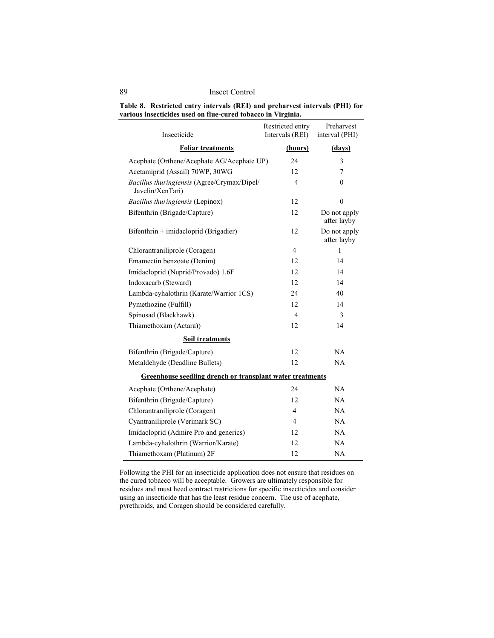| Table 8. Restricted entry intervals (REI) and preharvest intervals (PHI) for |
|------------------------------------------------------------------------------|
| various insecticides used on flue-cured tobacco in Virginia.                 |

| Insecticide                                                     | Restricted entry<br>Intervals (REI) | Preharvest<br>interval (PHI) |
|-----------------------------------------------------------------|-------------------------------------|------------------------------|
| <b>Foliar treatments</b>                                        | (hours)                             | (days)                       |
| Acephate (Orthene/Acephate AG/Acephate UP)                      | 24                                  | 3                            |
| Acetamiprid (Assail) 70WP, 30WG                                 | 12                                  | 7                            |
| Bacillus thuringiensis (Agree/Crymax/Dipel/<br>Javelin/XenTari) | 4                                   | 0                            |
| Bacillus thuringiensis (Lepinox)                                | 12                                  | $\theta$                     |
| Bifenthrin (Brigade/Capture)                                    | 12                                  | Do not apply<br>after layby  |
| Bifenthrin + imidacloprid (Brigadier)                           | 12                                  | Do not apply<br>after layby  |
| Chlorantraniliprole (Coragen)                                   | $\overline{4}$                      | $\mathbf{1}$                 |
| Emamectin benzoate (Denim)                                      | 12                                  | 14                           |
| Imidacloprid (Nuprid/Provado) 1.6F                              | 12                                  | 14                           |
| Indoxacarb (Steward)                                            | 12                                  | 14                           |
| Lambda-cyhalothrin (Karate/Warrior 1CS)                         | 24                                  | 40                           |
| Pymethozine (Fulfill)                                           | 12                                  | 14                           |
| Spinosad (Blackhawk)                                            | 4                                   | 3                            |
| Thiamethoxam (Actara))                                          | 12                                  | 14                           |
| <b>Soil treatments</b>                                          |                                     |                              |
| Bifenthrin (Brigade/Capture)                                    | 12                                  | NA                           |
| Metaldehyde (Deadline Bullets)                                  | 12                                  | NA                           |
| Greenhouse seedling drench or transplant water treatments       |                                     |                              |
| Acephate (Orthene/Acephate)                                     | 24                                  | NA                           |
| Bifenthrin (Brigade/Capture)                                    | 12                                  | NA                           |
| Chlorantraniliprole (Coragen)                                   | 4                                   | NA                           |
| Cyantraniliprole (Verimark SC)                                  | $\overline{4}$                      | NA                           |
| Imidacloprid (Admire Pro and generics)                          | 12                                  | NA                           |
| Lambda-cyhalothrin (Warrior/Karate)                             | 12                                  | NA                           |
| Thiamethoxam (Platinum) 2F                                      | 12                                  | NA                           |

Following the PHI for an insecticide application does not ensure that residues on the cured tobacco will be acceptable. Growers are ultimately responsible for residues and must heed contract restrictions for specific insecticides and consider using an insecticide that has the least residue concern. The use of acephate, pyrethroids, and Coragen should be considered carefully.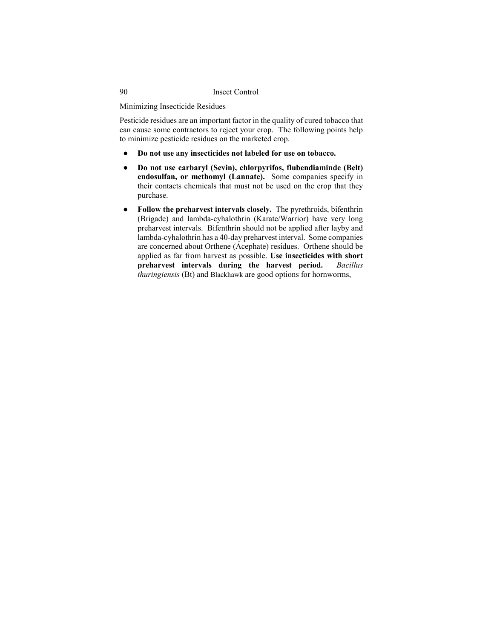Minimizing Insecticide Residues

Pesticide residues are an important factor in the quality of cured tobacco that can cause some contractors to reject your crop. The following points help to minimize pesticide residues on the marketed crop.

- **Do not use any insecticides not labeled for use on tobacco.**
- **Do not use carbaryl (Sevin), chlorpyrifos, flubendiaminde (Belt) endosulfan, or methomyl (Lannate).** Some companies specify in their contacts chemicals that must not be used on the crop that they purchase.
- **Follow the preharvest intervals closely.** The pyrethroids, bifenthrin (Brigade) and lambda-cyhalothrin (Karate/Warrior) have very long preharvest intervals. Bifenthrin should not be applied after layby and lambda-cyhalothrin has a 40-day preharvest interval. Some companies are concerned about Orthene (Acephate) residues. Orthene should be applied as far from harvest as possible. **Use insecticides with short**  preharvest intervals during the harvest period. *thuringiensis* (Bt) and Blackhawk are good options for hornworms,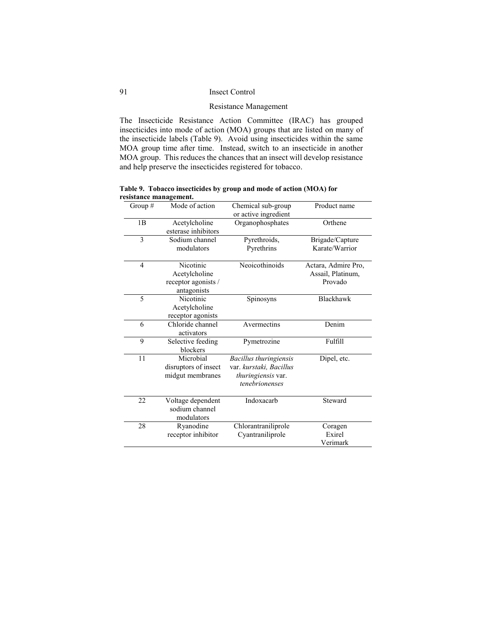## Resistance Management

The Insecticide Resistance Action Committee (IRAC) has grouped insecticides into mode of action (MOA) groups that are listed on many of the insecticide labels (Table 9). Avoid using insecticides within the same MOA group time after time. Instead, switch to an insecticide in another MOA group. This reduces the chances that an insect will develop resistance and help preserve the insecticides registered for tobacco.

**Table 9. Tobacco insecticides by group and mode of action (MOA) for resistance management.**

| Group #        | Mode of action                                                   | Chemical sub-group<br>or active ingredient                                                | Product name                                        |
|----------------|------------------------------------------------------------------|-------------------------------------------------------------------------------------------|-----------------------------------------------------|
| 1 <sub>B</sub> | Acetylcholine<br>esterase inhibitors                             | Organophosphates                                                                          | Orthene                                             |
| 3              | Sodium channel<br>modulators                                     | Pyrethroids,<br>Pyrethrins                                                                | Brigade/Capture<br>Karate/Warrior                   |
| 4              | Nicotinic<br>Acetylcholine<br>receptor agonists /<br>antagonists | Neoicothinoids                                                                            | Actara, Admire Pro,<br>Assail, Platinum,<br>Provado |
| 5              | Nicotinic<br>Acetylcholine<br>receptor agonists                  | Spinosyns                                                                                 | <b>Blackhawk</b>                                    |
| 6              | Chloride channel<br>activators                                   | Avermectins                                                                               | Denim                                               |
| 9              | Selective feeding<br>blockers                                    | Pymetrozine                                                                               | Fulfill                                             |
| 11             | Microbial<br>disruptors of insect<br>midgut membranes            | Bacillus thuringiensis<br>var. kurstaki, Bacillus<br>thuringiensis var.<br>tenebrionenses | Dipel, etc.                                         |
| 22             | Voltage dependent<br>sodium channel<br>modulators                | Indoxacarb                                                                                | Steward                                             |
| 28             | Ryanodine<br>receptor inhibitor                                  | Chlorantraniliprole<br>Cyantraniliprole                                                   | Coragen<br>Exirel<br>Verimark                       |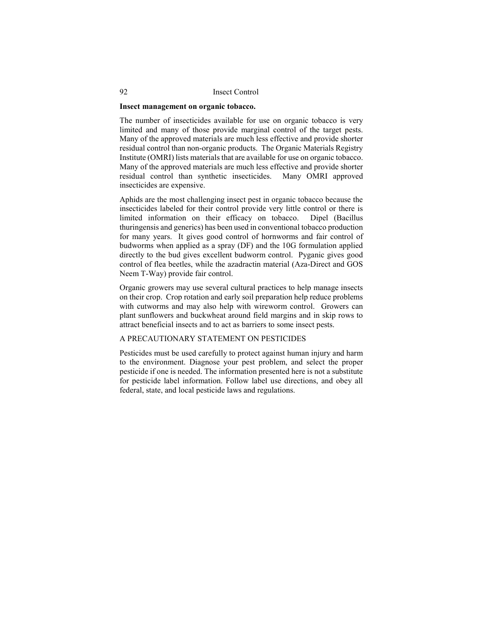### **Insect management on organic tobacco.**

The number of insecticides available for use on organic tobacco is very limited and many of those provide marginal control of the target pests. Many of the approved materials are much less effective and provide shorter residual control than non-organic products. The Organic Materials Registry Institute (OMRI) lists materials that are available for use on organic tobacco. Many of the approved materials are much less effective and provide shorter residual control than synthetic insecticides. Many OMRI approved insecticides are expensive.

Aphids are the most challenging insect pest in organic tobacco because the insecticides labeled for their control provide very little control or there is limited information on their efficacy on tobacco. Dipel (Bacillus thuringensis and generics) has been used in conventional tobacco production for many years. It gives good control of hornworms and fair control of budworms when applied as a spray (DF) and the 10G formulation applied directly to the bud gives excellent budworm control. Pyganic gives good control of flea beetles, while the azadractin material (Aza-Direct and GOS Neem T-Way) provide fair control.

Organic growers may use several cultural practices to help manage insects on their crop. Crop rotation and early soil preparation help reduce problems with cutworms and may also help with wireworm control. Growers can plant sunflowers and buckwheat around field margins and in skip rows to attract beneficial insects and to act as barriers to some insect pests.

### A PRECAUTIONARY STATEMENT ON PESTICIDES

Pesticides must be used carefully to protect against human injury and harm to the environment. Diagnose your pest problem, and select the proper pesticide if one is needed. The information presented here is not a substitute for pesticide label information. Follow label use directions, and obey all federal, state, and local pesticide laws and regulations.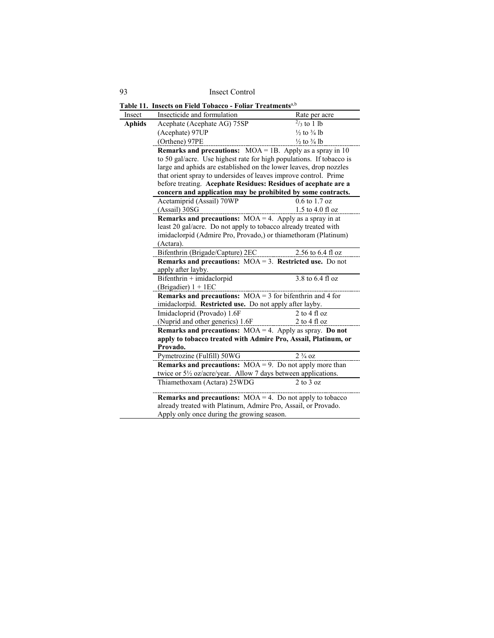93 Insect Control **Table 11. Insects on Field Tobacco - Foliar Treatments**a,b Insect Insecticide and formulation Rate per acre **Aphids** Acephate (Acephate AG)  $75SP$  <sup>2</sup>/<sub>3</sub> to 1 lb (Acephate) 97UP  $\frac{1}{2}$  to  $\frac{3}{4}$  lb (Orthene)  $97PE$   $\frac{1}{2}$  to  $\frac{3}{4}$  lb **Remarks and precautions:** MOA = 1B. Apply as a spray in 10 to 50 gal/acre. Use highest rate for high populations. If tobacco is large and aphids are established on the lower leaves, drop nozzles that orient spray to undersides of leaves improve control. Prime before treating. **Acephate Residues: Residues of acephate are a concern and application may be prohibited by some contracts.**  Acetamiprid (Assail) 70WP (Assail) 30SG 0.6 to 1.7 oz 1.5 to 4.0 fl oz **Remarks and precautions:** MOA = 4. Apply as a spray in at least 20 gal/acre. Do not apply to tobacco already treated with imidaclorpid (Admire Pro, Provado,) or thiamethoram (Platinum) (Actara). Bifenthrin (Brigade/Capture) 2EC 2.56 to 6.4 fl oz **Remarks and precautions:** MOA = 3. **Restricted use.** Do not apply after layby. Bifenthrin + imidaclorpid (Brigadier) 1 + 1EC 3.8 to 6.4 fl oz **Remarks and precautions:** MOA = 3 for bifenthrin and 4 for imidaclorpid. **Restricted use.** Do not apply after layby. Imidacloprid (Provado) 1.6F (Nuprid and other generics) 1.6F 2 to 4 fl oz 2 to 4 fl oz **Remarks and precautions:** MOA = 4. Apply as spray. **Do not apply to tobacco treated with Admire Pro, Assail, Platinum, or Provado.** Pymetrozine (Fulfill) 50WG 2 <sup>3</sup>/<sub>4</sub> oz **Remarks and precautions:** MOA = 9. Do not apply more than twice or 5½ oz/acre/year. Allow 7 days between applications. Thiamethoxam (Actara) 25WDG 2 to 3 oz **Remarks and precautions:** MOA = 4. Do not apply to tobacco already treated with Platinum, Admire Pro, Assail, or Provado. Apply only once during the growing season.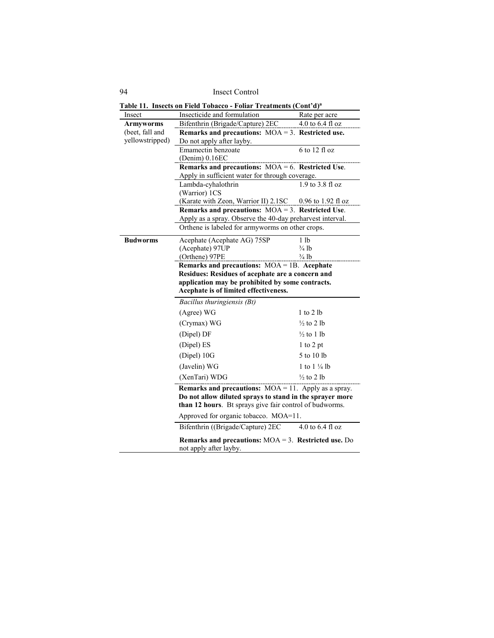| Insect           | Insecticide and formulation                                                                             | Rate per acre          |  |
|------------------|---------------------------------------------------------------------------------------------------------|------------------------|--|
| <b>Armyworms</b> | Bifenthrin (Brigade/Capture) 2EC                                                                        | 4.0 to 6.4 fl oz       |  |
| (beet, fall and  | Remarks and precautions: $MOA = 3$ . Restricted use.                                                    |                        |  |
| yellowstripped)  | Do not apply after layby.                                                                               |                        |  |
|                  | Emamectin benzoate                                                                                      | $6$ to 12 fl oz        |  |
|                  | (Denim) 0.16EC                                                                                          |                        |  |
|                  | Remarks and precautions: $MOA = 6$ . Restricted Use.<br>Apply in sufficient water for through coverage. |                        |  |
|                  | Lambda-cyhalothrin                                                                                      | 1.9 to 3.8 fl oz       |  |
|                  | (Warrior) 1CS                                                                                           |                        |  |
|                  | (Karate with Zeon, Warrior II) 2.1SC                                                                    | $0.96$ to 1.92 fl oz   |  |
|                  | Remarks and precautions: $MOA = 3$ . Restricted Use.                                                    |                        |  |
|                  | Apply as a spray. Observe the 40-day preharvest interval.                                               |                        |  |
|                  | Orthene is labeled for armyworms on other crops.                                                        |                        |  |
| <b>Budworms</b>  | Acephate (Acephate AG) 75SP                                                                             | 1 <sub>1b</sub>        |  |
|                  | (Acephate) 97UP                                                                                         | $\frac{3}{4}$ lb       |  |
|                  | (Orthene) 97PE                                                                                          | $\frac{3}{4}$ lb       |  |
|                  | Remarks and precautions: $MOA = 1B$ . Acephate                                                          |                        |  |
|                  | Residues: Residues of acephate are a concern and                                                        |                        |  |
|                  | application may be prohibited by some contracts.                                                        |                        |  |
|                  | Acephate is of limited effectiveness.                                                                   |                        |  |
|                  | Bacillus thuringiensis (Bt)                                                                             |                        |  |
|                  | (Agree) WG                                                                                              | 1 to 2 lb              |  |
|                  | (Crymax) WG                                                                                             | $\frac{1}{2}$ to 2 lb  |  |
|                  | (Dipel) DF                                                                                              | $\frac{1}{2}$ to 1 lb  |  |
|                  | (Dipel) ES                                                                                              | 1 to 2 pt              |  |
|                  | (Dipel) 10G                                                                                             | 5 to 10 lb             |  |
|                  | (Javelin) WG                                                                                            | 1 to $1\frac{1}{4}$ lb |  |
|                  | (XenTari) WDG                                                                                           | $\frac{1}{2}$ to 2 lb  |  |
|                  | <b>Remarks and precautions:</b> $MOA = 11$ . Apply as a spray.                                          |                        |  |
|                  | Do not allow diluted sprays to stand in the sprayer more                                                |                        |  |
|                  | than 12 hours. Bt sprays give fair control of budworms.                                                 |                        |  |
|                  |                                                                                                         |                        |  |
|                  | Approved for organic tobacco. MOA=11.                                                                   |                        |  |
|                  | Bifenthrin ((Brigade/Capture) 2EC                                                                       | 4.0 to 6.4 fl oz       |  |

**Table 11. Insects on Field Tobacco - Foliar Treatments (Cont'd)a**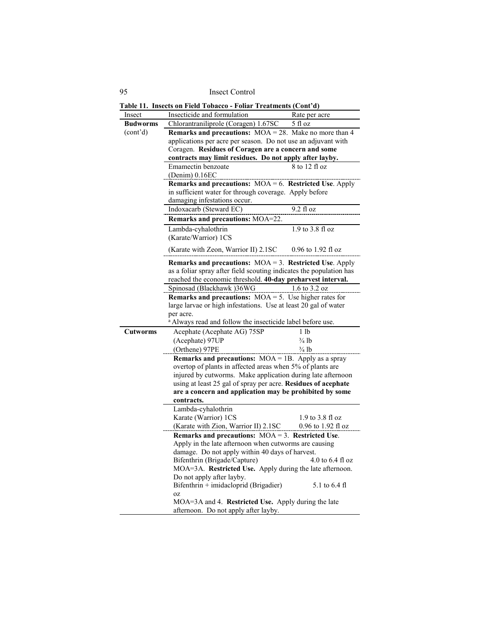95 Insect Control

| Insect                | Insecticide and formulation                                                              | Rate per acre        |  |
|-----------------------|------------------------------------------------------------------------------------------|----------------------|--|
| <b>Budworms</b>       | Chlorantraniliprole (Coragen) 1.67SC                                                     | 5 fl oz              |  |
| (cont <sup>'</sup> d) | <b>Remarks and precautions:</b> $MOA = 28$ . Make no more than 4                         |                      |  |
|                       | applications per acre per season. Do not use an adjuvant with                            |                      |  |
|                       | Coragen. Residues of Coragen are a concern and some                                      |                      |  |
|                       | contracts may limit residues. Do not apply after layby.                                  |                      |  |
|                       | Emamectin benzoate                                                                       | 8 to 12 fl oz        |  |
|                       | (Denim) 0.16EC                                                                           |                      |  |
|                       | Remarks and precautions: $MOA = 6$ . Restricted Use. Apply                               |                      |  |
|                       | in sufficient water for through coverage. Apply before                                   |                      |  |
|                       | damaging infestations occur.                                                             |                      |  |
|                       | Indoxacarb (Steward EC)                                                                  | $9.2$ fl oz          |  |
|                       | Remarks and precautions: MOA=22.                                                         |                      |  |
|                       | Lambda-cyhalothrin                                                                       | 1.9 to 3.8 fl oz     |  |
|                       | (Karate/Warrior) 1CS                                                                     |                      |  |
|                       | (Karate with Zeon, Warrior II) 2.1SC                                                     | 0.96 to 1.92 fl oz   |  |
|                       | Remarks and precautions: $MOA = 3$ . Restricted Use. Apply                               |                      |  |
|                       | as a foliar spray after field scouting indicates the population has                      |                      |  |
|                       | reached the economic threshold. 40-day preharvest interval.                              |                      |  |
|                       | Spinosad (Blackhawk) 36WG                                                                | 1.6 to 3.2 oz        |  |
|                       | <b>Remarks and precautions:</b> $MOA = 5$ . Use higher rates for                         |                      |  |
|                       | large larvae or high infestations. Use at least 20 gal of water                          |                      |  |
|                       | per acre.                                                                                |                      |  |
|                       | <sup>a</sup> Always read and follow the insecticide label before use.                    |                      |  |
| Cutworms              | Acephate (Acephate AG) 75SP                                                              | 1 <sub>lb</sub>      |  |
|                       | (Acephate) 97UP                                                                          | $\frac{3}{4}$ lb     |  |
|                       | (Orthene) 97PE                                                                           | <sup>3</sup> /4 lb   |  |
|                       | <b>Remarks and precautions:</b> $MOA = 1B$ . Apply as a spray                            |                      |  |
|                       | overtop of plants in affected areas when 5% of plants are                                |                      |  |
|                       | injured by cutworms. Make application during late afternoon                              |                      |  |
|                       | using at least 25 gal of spray per acre. Residues of acephate                            |                      |  |
|                       | are a concern and application may be prohibited by some                                  |                      |  |
|                       | contracts.                                                                               |                      |  |
|                       | Lambda-cyhalothrin                                                                       |                      |  |
|                       | Karate (Warrior) 1CS                                                                     | 1.9 to 3.8 fl oz     |  |
|                       | (Karate with Zion, Warrior II) 2.1SC                                                     | $0.96$ to 1.92 fl oz |  |
|                       | Remarks and precautions: $MOA = 3$ . Restricted Use.                                     |                      |  |
|                       | Apply in the late afternoon when cutworms are causing                                    |                      |  |
|                       | damage. Do not apply within 40 days of harvest.                                          |                      |  |
|                       | Bifenthrin (Brigade/Capture)<br>MOA=3A. Restricted Use. Apply during the late afternoon. | $4.0$ to $6.4$ fl oz |  |
|                       |                                                                                          |                      |  |
|                       | Do not apply after layby.<br>Bifenthrin + imidacloprid (Brigadier)                       | 5.1 to 6.4 fl        |  |
|                       | <b>OZ</b>                                                                                |                      |  |
|                       | $MOA = 3A$ and 4. <b>Restricted Use.</b> Apply during the late                           |                      |  |
|                       | afternoon. Do not apply after layby.                                                     |                      |  |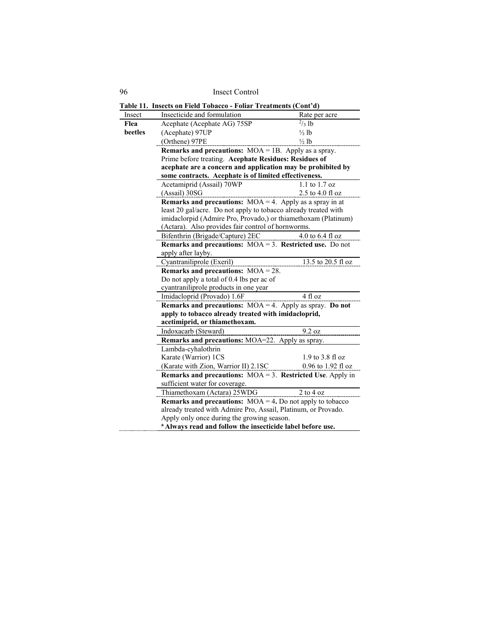| Insect  | Insecticide and formulation                                                  | Rate per acre        |  |
|---------|------------------------------------------------------------------------------|----------------------|--|
| Flea    | Acephate (Acephate AG) 75SP                                                  | $^{2}/_{3}$ lb       |  |
| beetles | (Acephate) 97UP                                                              | $\frac{1}{2}$ lb     |  |
|         | (Orthene) 97PE                                                               | $\frac{1}{2}$ lb     |  |
|         | <b>Remarks and precautions:</b> $MOA = 1B$ . Apply as a spray.               |                      |  |
|         | Prime before treating. Acephate Residues: Residues of                        |                      |  |
|         | acephate are a concern and application may be prohibited by                  |                      |  |
|         | some contracts. Acephate is of limited effectiveness.                        |                      |  |
|         | Acetamiprid (Assail) 70WP                                                    | $1.1$ to $1.7$ oz    |  |
|         | (Assail) 30SG                                                                | $2.5$ to $4.0$ fl oz |  |
|         | <b>Remarks and precautions:</b> $MOA = 4$ . Apply as a spray in at           |                      |  |
|         | least 20 gal/acre. Do not apply to tobacco already treated with              |                      |  |
|         | imidaclorpid (Admire Pro, Provado,) or thiamethoxam (Platinum)               |                      |  |
|         | (Actara). Also provides fair control of hornworms.                           |                      |  |
|         | Bifenthrin (Brigade/Capture) 2EC                                             | 4.0 to $6.4$ fl oz   |  |
|         | <b>Remarks and precautions:</b> $MOA = 3$ . <b>Restricted use.</b> Do not    |                      |  |
|         | apply after layby.                                                           |                      |  |
|         | Cyantraniliprole (Exeril)                                                    | 13.5 to 20.5 fl oz   |  |
|         | Remarks and precautions: $MOA = 28$ .                                        |                      |  |
|         | Do not apply a total of 0.4 lbs per ac of                                    |                      |  |
|         | cyantraniliprole products in one year                                        |                      |  |
|         | Imidacloprid (Provado) 1.6F                                                  | 4 fl oz              |  |
|         | <b>Remarks and precautions:</b> $MOA = 4$ . Apply as spray. <b>Do not</b>    |                      |  |
|         | apply to tobacco already treated with imidacloprid,                          |                      |  |
|         | acetimiprid, or thiamethoxam.                                                |                      |  |
|         | Indoxacarb (Steward)                                                         | 9.2 oz               |  |
|         | <b>Remarks and precautions:</b> MOA=22. Apply as spray.                      |                      |  |
|         | Lambda-cyhalothrin                                                           |                      |  |
|         | Karate (Warrior) 1CS                                                         | 1.9 to 3.8 fl oz     |  |
|         | (Karate with Zion, Warrior II) 2.1SC                                         | $0.96$ to 1.92 fl oz |  |
|         | <b>Remarks and precautions:</b> $MOA = 3$ . <b>Restricted Use</b> . Apply in |                      |  |
|         | sufficient water for coverage.                                               |                      |  |
|         | Thiamethoxam (Actara) 25WDG                                                  | 2 to 4 oz            |  |
|         | <b>Remarks and precautions:</b> $MOA = 4$ . Do not apply to tobacco          |                      |  |
|         | already treated with Admire Pro, Assail, Platinum, or Provado.               |                      |  |
|         | Apply only once during the growing season.                                   |                      |  |
|         | <sup>a</sup> Always read and follow the insecticide label before use.        |                      |  |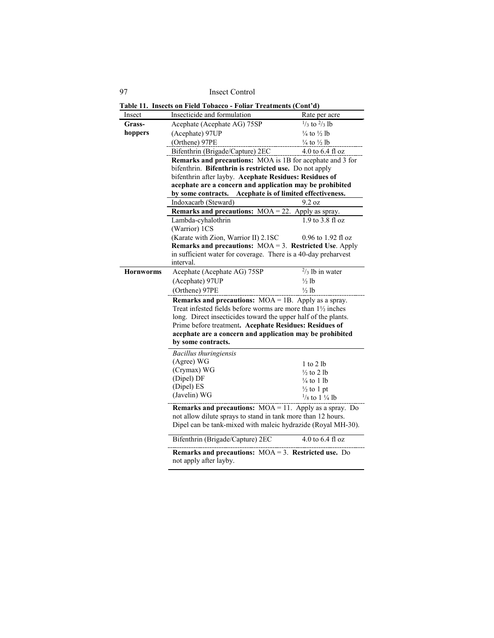**Table 11. Insects on Field Tobacco - Foliar Treatments (Cont'd)**

| Insect           | Insecticide and formulation                                                                       | Rate per acre                           |  |
|------------------|---------------------------------------------------------------------------------------------------|-----------------------------------------|--|
| Grass-           | Acephate (Acephate AG) 75SP                                                                       | $\frac{1}{3}$ to $\frac{2}{3}$ lb       |  |
| hoppers          | (Acephate) 97UP                                                                                   | $\frac{1}{4}$ to $\frac{1}{2}$ lb       |  |
|                  | (Orthene) 97PE                                                                                    | $\frac{1}{4}$ to $\frac{1}{2}$ lb       |  |
|                  | Bifenthrin (Brigade/Capture) 2EC                                                                  | 4.0 to 6.4 fl oz                        |  |
|                  | Remarks and precautions: MOA is 1B for acephate and 3 for                                         |                                         |  |
|                  | bifenthrin. Bifenthrin is restricted use. Do not apply                                            |                                         |  |
|                  | bifenthrin after layby. Acephate Residues: Residues of                                            |                                         |  |
|                  | acephate are a concern and application may be prohibited<br>Acephate is of limited effectiveness. |                                         |  |
|                  | by some contracts.                                                                                | $9.2 \text{ oz}$                        |  |
|                  | Indoxacarb (Steward)<br>Remarks and precautions: $MOA = 22$ .                                     |                                         |  |
|                  | Lambda-cyhalothrin                                                                                | Apply as spray.<br>$1.9$ to $3.8$ fl oz |  |
|                  | (Warrior) 1CS                                                                                     |                                         |  |
|                  | (Karate with Zion, Warrior II) 2.1SC                                                              | 0.96 to 1.92 fl oz                      |  |
|                  | Remarks and precautions: $MOA = 3$ . Restricted Use. Apply                                        |                                         |  |
|                  | in sufficient water for coverage. There is a 40-day preharvest                                    |                                         |  |
|                  | interval.                                                                                         |                                         |  |
| <b>Hornworms</b> | Acephate (Acephate AG) 75SP                                                                       | $\frac{2}{3}$ lb in water               |  |
|                  | (Acephate) 97UP                                                                                   | $\frac{1}{2}$ lb                        |  |
|                  | (Orthene) 97PE                                                                                    | ½ lb                                    |  |
|                  | <b>Remarks and precautions:</b> $MOA = 1B$ . Apply as a spray.                                    |                                         |  |
|                  | Treat infested fields before worms are more than 1 <sup>1</sup> / <sub>2</sub> inches             |                                         |  |
|                  | long. Direct insecticides toward the upper half of the plants.                                    |                                         |  |
|                  | Prime before treatment. Acephate Residues: Residues of                                            |                                         |  |
|                  | acephate are a concern and application may be prohibited                                          |                                         |  |
|                  | by some contracts.                                                                                |                                         |  |
|                  | Bacillus thuringiensis                                                                            |                                         |  |
|                  | (Agree) WG                                                                                        | $1$ to $2$ lb                           |  |
|                  | (Crymax) WG                                                                                       | $\frac{1}{2}$ to 2 lb                   |  |
|                  | (Dipel) DF                                                                                        | $\frac{1}{4}$ to 1 lb                   |  |
|                  | (Dipel) ES                                                                                        | $\frac{1}{2}$ to 1 pt                   |  |
|                  | (Javelin) WG                                                                                      | $\frac{1}{8}$ to 1 $\frac{1}{4}$ lb     |  |
|                  | <b>Remarks and precautions:</b> $MOA = 11$ . Apply as a spray. Do                                 |                                         |  |
|                  | not allow dilute sprays to stand in tank more than 12 hours.                                      |                                         |  |
|                  | Dipel can be tank-mixed with maleic hydrazide (Royal MH-30).                                      |                                         |  |
|                  | Bifenthrin (Brigade/Capture) 2EC                                                                  | 4.0 to 6.4 fl oz                        |  |
|                  | Remarks and precautions: $MOA = 3$ . Restricted use. Do<br>not apply after layby.                 |                                         |  |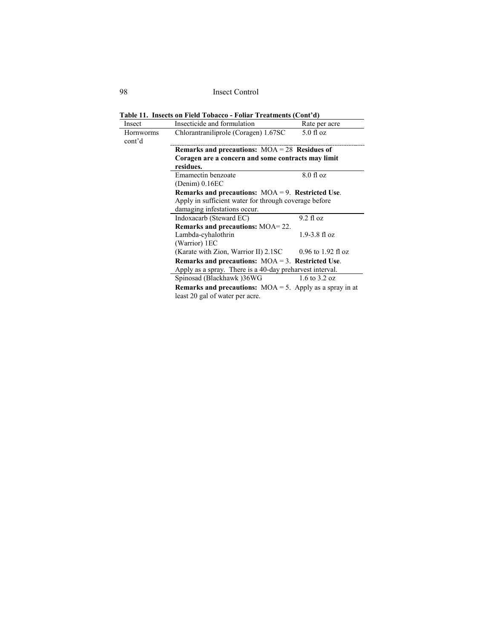| Insect                     | Insecticide and formulation                                                                                      | Rate per acre                    |
|----------------------------|------------------------------------------------------------------------------------------------------------------|----------------------------------|
| <b>Hornworms</b><br>cont'd | Chlorantraniliprole (Coragen) 1.67SC                                                                             | $5.0$ fl oz                      |
|                            | Remarks and precautions: $MOA = 28$ Residues of                                                                  |                                  |
|                            | Coragen are a concern and some contracts may limit<br>residues.                                                  |                                  |
|                            | Emamectin benzoate<br>(Denim) 0.16EC                                                                             | $8.0$ fl oz                      |
|                            | Remarks and precautions: $MOA = 9$ . Restricted Use.                                                             |                                  |
|                            | Apply in sufficient water for through coverage before                                                            |                                  |
|                            | damaging infestations occur.                                                                                     |                                  |
|                            | Indoxacarb (Steward EC)                                                                                          | 9.2 f1 oz                        |
|                            | <b>Remarks and precautions: MOA=22.</b>                                                                          |                                  |
|                            | Lambda-cyhalothrin                                                                                               | $1.9 - 3.8$ fl oz                |
|                            |                                                                                                                  |                                  |
|                            | (Warrior) 1EC                                                                                                    |                                  |
|                            | (Karate with Zion, Warrior II) 2.1SC                                                                             | $0.96$ to 1.92 fl oz             |
|                            | Remarks and precautions: $MOA = 3$ . Restricted Use.<br>Apply as a spray. There is a 40-day preharvest interval. |                                  |
|                            | Spinosad (Blackhawk) 36WG                                                                                        | $1.6 \text{ to } 3.2 \text{ oz}$ |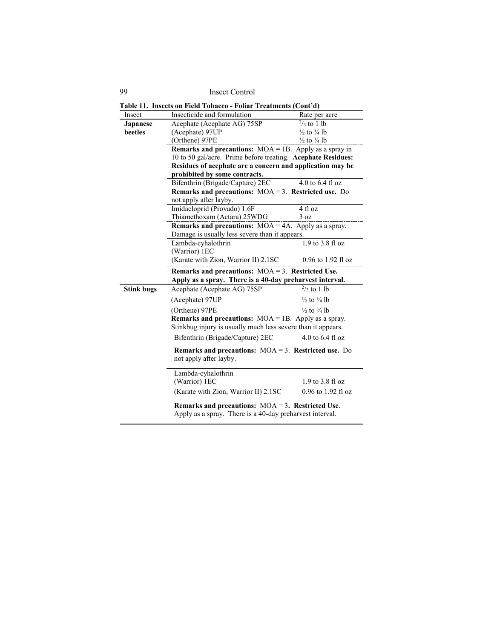|                   | Table 11. Insects on Field Tobacco - Foliar Treatments (Cont'd)                                                  |                                   |  |
|-------------------|------------------------------------------------------------------------------------------------------------------|-----------------------------------|--|
| Insect            | Insecticide and formulation                                                                                      | Rate per acre                     |  |
| Japanese          | Acephate (Acephate AG) 75SP                                                                                      | $\frac{2}{3}$ to 1 lb             |  |
| beetles           | (Acephate) 97UP                                                                                                  | $\frac{1}{2}$ to $\frac{3}{4}$ lb |  |
|                   | (Orthene) 97PE                                                                                                   | $\frac{1}{2}$ to $\frac{3}{4}$ lb |  |
|                   | <b>Remarks and precautions:</b> $MOA = 1B$ . Apply as a spray in                                                 |                                   |  |
|                   | 10 to 50 gal/acre. Prime before treating. Acephate Residues:                                                     |                                   |  |
|                   | Residues of acephate are a concern and application may be                                                        |                                   |  |
|                   | prohibited by some contracts.                                                                                    |                                   |  |
|                   | Bifenthrin (Brigade/Capture) 2EC                                                                                 | 4.0 to $6.4$ fl oz                |  |
|                   | Remarks and precautions: $MOA = 3$ . Restricted use. Do<br>not apply after layby.                                |                                   |  |
|                   | Imidacloprid (Provado) 1.6F                                                                                      | 4 fl oz                           |  |
|                   | Thiamethoxam (Actara) 25WDG                                                                                      | 3 oz                              |  |
|                   | <b>Remarks and precautions:</b> $MOA = 4A$ . Apply as a spray.                                                   |                                   |  |
|                   | Damage is usually less severe than it appears.                                                                   |                                   |  |
|                   | Lambda-cyhalothrin                                                                                               | $1.9$ to $3.8$ fl oz              |  |
|                   | (Warrior) 1EC                                                                                                    |                                   |  |
|                   | (Karate with Zion, Warrior II) 2.1SC                                                                             | $0.96$ to 1.92 fl oz              |  |
|                   | Remarks and precautions: $MOA = 3$ . Restricted Use.<br>Apply as a spray. There is a 40-day preharvest interval. |                                   |  |
| <b>Stink bugs</b> | Acephate (Acephate AG) 75SP                                                                                      | $\frac{2}{3}$ to 1 lb             |  |
|                   | (Acephate) 97UP                                                                                                  | $\frac{1}{2}$ to $\frac{3}{4}$ lb |  |
|                   | (Orthene) 97PE                                                                                                   | $\frac{1}{2}$ to $\frac{3}{4}$ lb |  |
|                   | <b>Remarks and precautions:</b> $MOA = 1B$ . Apply as a spray.                                                   |                                   |  |
|                   | Stinkbug injury is usually much less severe than it appears.                                                     |                                   |  |
|                   | Bifenthrin (Brigade/Capture) 2EC                                                                                 | 4.0 to $6.4$ fl oz                |  |
|                   | Remarks and precautions: $MOA = 3$ . Restricted use. Do<br>not apply after layby.                                |                                   |  |
|                   | Lambda-cyhalothrin<br>(Warrior) 1EC                                                                              | $1.9$ to $3.8$ fl oz              |  |
|                   | (Karate with Zion, Warrior II) 2.1SC                                                                             | $0.96$ to 1.92 fl oz              |  |
|                   | Remarks and precautions: $MOA = 3$ . Restricted Use.<br>Apply as a spray. There is a 40-day preharvest interval. |                                   |  |